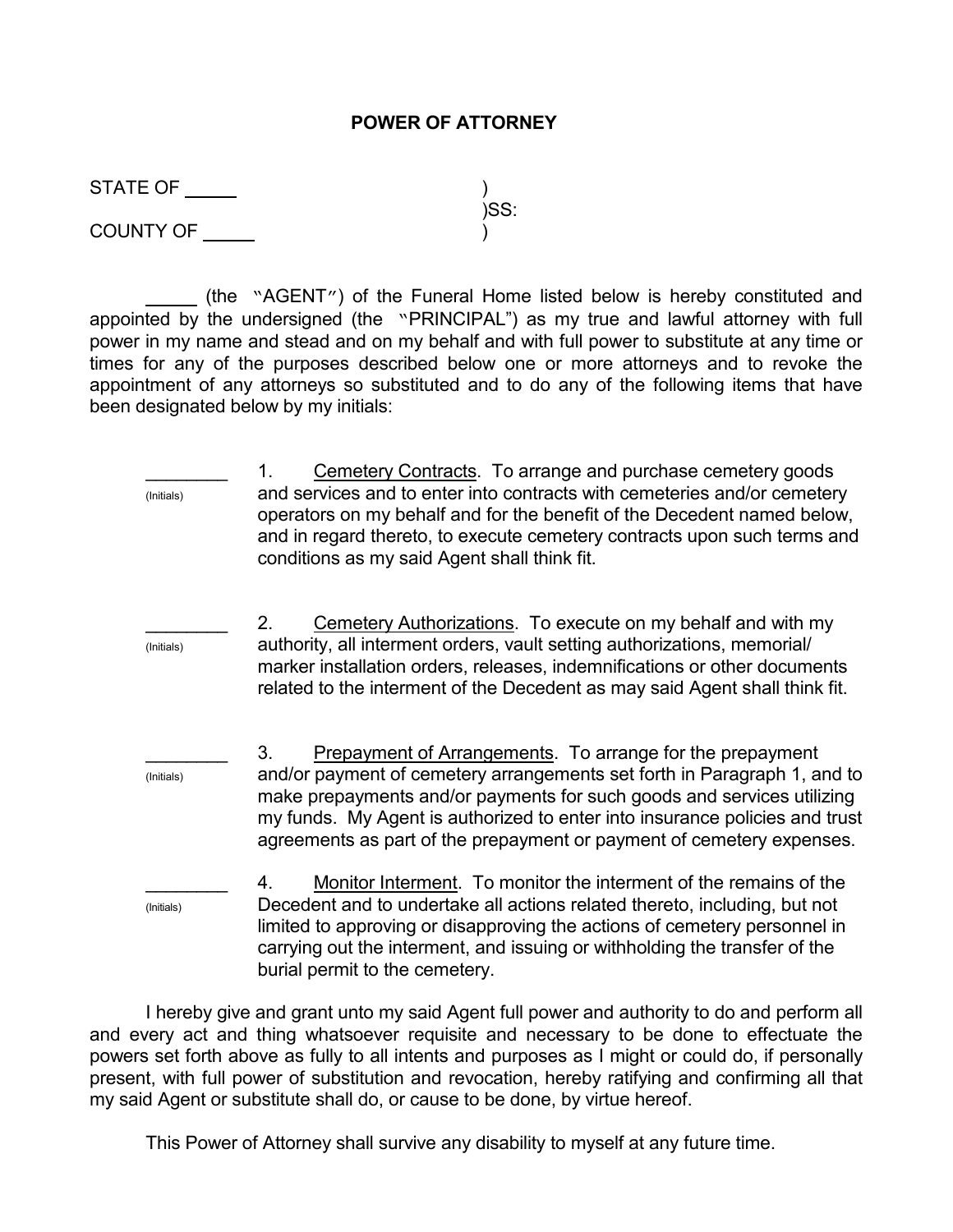## POWER OF ATTORNEY

STATE OF )

 $\sim$  )SS: COUNTY OF )

 (the "AGENT") of the Funeral Home listed below is hereby constituted and appointed by the undersigned (the "PRINCIPAL") as my true and lawful attorney with full power in my name and stead and on my behalf and with full power to substitute at any time or times for any of the purposes described below one or more attorneys and to revoke the appointment of any attorneys so substituted and to do any of the following items that have been designated below by my initials:

1. Cemetery Contracts. To arrange and purchase cemetery goods (Initials) and services and to enter into contracts with cemeteries and/or cemetery operators on my behalf and for the benefit of the Decedent named below, and in regard thereto, to execute cemetery contracts upon such terms and conditions as my said Agent shall think fit. 2. Cemetery Authorizations. To execute on my behalf and with my (Initials) authority, all interment orders, vault setting authorizations, memorial/ marker installation orders, releases, indemnifications or other documents related to the interment of the Decedent as may said Agent shall think fit. 3. Prepayment of Arrangements. To arrange for the prepayment (Initials) and/or payment of cemetery arrangements set forth in Paragraph 1, and to make prepayments and/or payments for such goods and services utilizing my funds. My Agent is authorized to enter into insurance policies and trust agreements as part of the prepayment or payment of cemetery expenses. 4. Monitor Interment. To monitor the interment of the remains of the (Initials) Decedent and to undertake all actions related thereto, including, but not limited to approving or disapproving the actions of cemetery personnel in carrying out the interment, and issuing or withholding the transfer of the burial permit to the cemetery.

 I hereby give and grant unto my said Agent full power and authority to do and perform all and every act and thing whatsoever requisite and necessary to be done to effectuate the powers set forth above as fully to all intents and purposes as I might or could do, if personally present, with full power of substitution and revocation, hereby ratifying and confirming all that my said Agent or substitute shall do, or cause to be done, by virtue hereof.

This Power of Attorney shall survive any disability to myself at any future time.